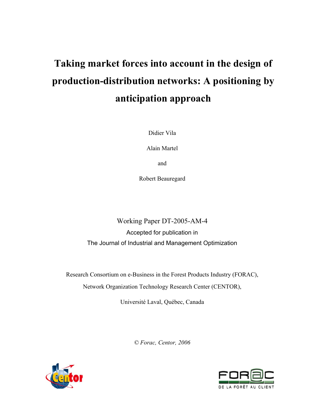# **Taking market forces into account in the design of production-distribution networks: A positioning by anticipation approach**

Didier Vila

Alain Martel

and

Robert Beauregard

Working Paper DT-2005-AM-4 Accepted for publication in The Journal of Industrial and Management Optimization

Research Consortium on e-Business in the Forest Products Industry (FORAC),

Network Organization Technology Research Center (CENTOR),

Université Laval, Québec, Canada

*© Forac, Centor, 2006*



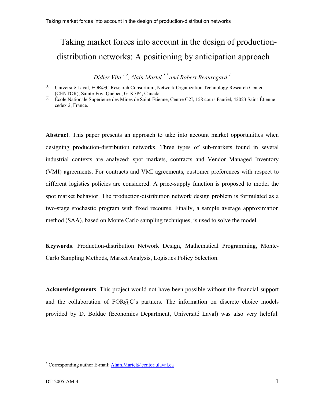# Taking market forces into account in the design of productiondistribution networks: A positioning by anticipation approach

*Didier Vila 1,2, Alain Martel 1 \* and Robert Beauregard 1* 

**Abstract**. This paper presents an approach to take into account market opportunities when designing production-distribution networks. Three types of sub-markets found in several industrial contexts are analyzed: spot markets, contracts and Vendor Managed Inventory (VMI) agreements. For contracts and VMI agreements, customer preferences with respect to different logistics policies are considered. A price-supply function is proposed to model the spot market behavior. The production-distribution network design problem is formulated as a two-stage stochastic program with fixed recourse. Finally, a sample average approximation method (SAA), based on Monte Carlo sampling techniques, is used to solve the model.

**Keywords**. Production-distribution Network Design, Mathematical Programming, Monte-Carlo Sampling Methods, Market Analysis, Logistics Policy Selection.

**Acknowledgements**. This project would not have been possible without the financial support and the collaboration of FOR@C's partners. The information on discrete choice models provided by D. Bolduc (Economics Department, Université Laval) was also very helpful.

 $\overline{a}$ 

<sup>(1)</sup> Université Laval, FOR@C Research Consortium, Network Organization Technology Research Center (CENTOR), Sainte-Foy, Québec, G1K7P4, Canada.

<sup>(2)</sup> École Nationale Supérieure des Mines de Saint-Étienne, Centre G2I, 158 cours Fauriel, 42023 Saint-Étienne cedex 2, France.

<sup>\*</sup> Corresponding author E-mail: *Alain.Martel@centor.ulaval.ca*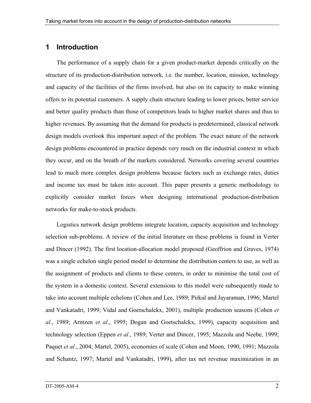# **1 Introduction**

The performance of a supply chain for a given product-market depends critically on the structure of its production-distribution network, i.e. the number, location, mission, technology and capacity of the facilities of the firms involved, but also on its capacity to make winning offers to its potential customers. A supply chain structure leading to lower prices, better service and better quality products than those of competitors leads to higher market shares and thus to higher revenues. By assuming that the demand for products is predetermined, classical network design models overlook this important aspect of the problem. The exact nature of the network design problems encountered in practice depends very much on the industrial context in which they occur, and on the breath of the markets considered. Networks covering several countries lead to much more complex design problems because factors such as exchange rates, duties and income tax must be taken into account. This paper presents a generic methodology to explicitly consider market forces when designing international production-distribution networks for make-to-stock products.

Logistics network design problems integrate location, capacity acquisition and technology selection sub-problems. A review of the initial literature on these problems is found in Verter and Dincer (1992). The first location-allocation model proposed (Geoffrion and Graves, 1974) was a single echelon single period model to determine the distribution centers to use, as well as the assignment of products and clients to these centers, in order to minimise the total cost of the system in a domestic context. Several extensions to this model were subsequently made to take into account multiple echelons (Cohen and Lee, 1989; Pirkul and Jayaraman, 1996; Martel and Vankatadri, 1999; Vidal and Goetschalckx, 2001), multiple production seasons (Cohen *et al*., 1989; Arntzen *et al*., 1995; Dogan and Goetschalckx, 1999), capacity acquisition and technology selection (Eppen *et al*., 1989; Verter and Dincer, 1995; Mazzola and Neebe, 1999; Paquet *et al*., 2004; Martel, 2005), economies of scale (Cohen and Moon, 1990, 1991; Mazzola and Schantz, 1997; Martel and Vankatadri, 1999), after tax net revenue maximization in an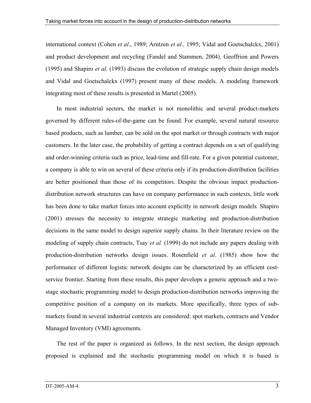international context (Cohen *et al*., 1989; Arntzen *et al.,* 1995; Vidal and Goetschalckx, 2001) and product development and recycling (Fandel and Stammen, 2004). Geoffrion and Powers (1995) and Shapiro *et al*. (1993) discuss the evolution of strategic supply chain design models and Vidal and Goetschalckx (1997) present many of these models. A modeling framework integrating most of these results is presented in Martel (2005).

In most industrial sectors, the market is not monolithic and several product-markets governed by different rules-of-the-game can be found. For example, several natural resource based products, such as lumber, can be sold on the spot market or through contracts with major customers. In the later case, the probability of getting a contract depends on a set of qualifying and order-winning criteria such as price, lead-time and fill-rate. For a given potential customer, a company is able to win on several of these criteria only if its production-distribution facilities are better positioned than those of its competitors. Despite the obvious impact productiondistribution network structures can have on company performance in such contexts, little work has been done to take market forces into account explicitly in network design models. Shapiro (2001) stresses the necessity to integrate strategic marketing and production-distribution decisions in the same model to design superior supply chains. In their literature review on the modeling of supply chain contracts, Tsay *et al.* (1999) do not include any papers dealing with production-distribution networks design issues. Rosenfield *et al*. (1985) show how the performance of different logistic network designs can be characterized by an efficient costservice frontier. Starting from these results, this paper develops a generic approach and a twostage stochastic programming model to design production-distribution networks improving the competitive position of a company on its markets. More specifically, three types of submarkets found in several industrial contexts are considered: spot markets, contracts and Vendor Managed Inventory (VMI) agreements.

The rest of the paper is organized as follows. In the next section, the design approach proposed is explained and the stochastic programming model on which it is based is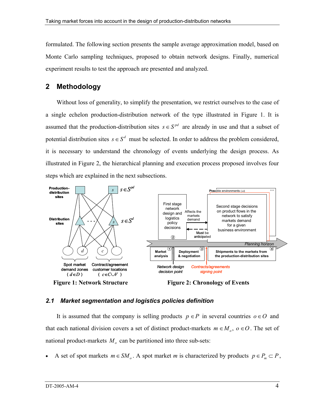formulated. The following section presents the sample average approximation model, based on Monte Carlo sampling techniques, proposed to obtain network designs. Finally, numerical experiment results to test the approach are presented and analyzed.

# **2 Methodology**

Without loss of generality, to simplify the presentation, we restrict ourselves to the case of a single echelon production-distribution network of the type illustrated in Figure 1. It is assumed that the production-distribution sites  $s \in S^{pd}$  are already in use and that a subset of potential distribution sites  $s \in S^d$  must be selected. In order to address the problem considered, it is necessary to understand the chronology of events underlying the design process. As illustrated in Figure 2, the hierarchical planning and execution process proposed involves four steps which are explained in the next subsections.



# *2.1 Market segmentation and logistics policies definition*

It is assumed that the company is selling products  $p \in P$  in several countries  $o \in O$  and that each national division covers a set of distinct product-markets  $m \in M_0$ ,  $o \in O$ . The set of national product-markets  $M_{\rho}$  can be partitioned into three sub-sets:

A set of spot markets  $m \in SM$ . A spot market *m* is characterized by products  $p \in P_m \subset P$ ,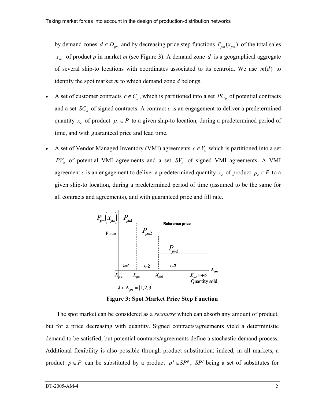by demand zones  $d \in D_{pm}$  and by decreasing price step functions  $P_{pm}(x_{pm})$  of the total sales  $x_{pm}$  of product *p* in market *m* (see Figure 3). A demand zone *d* is a geographical aggregate of several ship-to locations with coordinates associated to its centroid. We use  $m(d)$  to identify the spot market *m* to which demand zone *d* belongs.

- A set of customer contracts  $c \in C_o$ , which is partitioned into a set  $PC_o$  of potential contracts and a set  $SC<sub>o</sub>$  of signed contracts. A contract  $c$  is an engagement to deliver a predetermined quantity  $x_c$  of product  $p_c \in P$  to a given ship-to location, during a predetermined period of time, and with guaranteed price and lead time.
- A set of Vendor Managed Inventory (VMI) agreements  $c \in V$ <sub>o</sub> which is partitioned into a set  $PV<sub>o</sub>$  of potential VMI agreements and a set  $SV<sub>o</sub>$  of signed VMI agreements. A VMI agreement *c* is an engagement to deliver a predetermined quantity  $x_c$  of product  $p_c \in P$  to a given ship-to location, during a predetermined period of time (assumed to be the same for all contracts and agreements), and with guaranteed price and fill rate.



**Figure 3: Spot Market Price Step Function** 

The spot market can be considered as a *recourse* which can absorb any amount of product, but for a price decreasing with quantity. Signed contracts/agreements yield a deterministic demand to be satisfied, but potential contracts/agreements define a stochastic demand process*.* Additional flexibility is also possible through product substitution: indeed, in all markets, a product  $p \in P$  can be substituted by a product  $p' \in SP^p$ ,  $SP^p$  being a set of substitutes for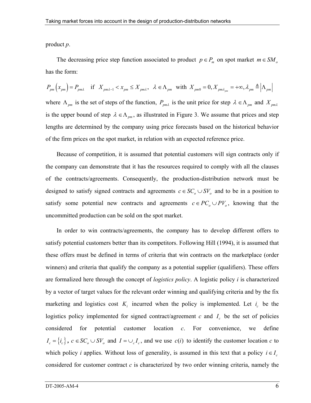product *p*.

The decreasing price step function associated to product  $p \in P_m$  on spot market  $m \in SM$ <sub>o</sub> has the form:

 $P_{pm}\left( x_{pm}\right) =P_{pm\lambda}\quad \text{if}\quad X_{pm\lambda-1}$ where  $\Lambda_{pm}$  is the set of steps of the function,  $P_{pm\lambda}$  is the unit price for step  $\lambda \in \Lambda_{pm}$  and  $X_{pm\lambda}$ is the upper bound of step  $\lambda \in \Lambda_{pm}$ , as illustrated in Figure 3. We assume that prices and step lengths are determined by the company using price forecasts based on the historical behavior of the firm prices on the spot market, in relation with an expected reference price.

Because of competition, it is assumed that potential customers will sign contracts only if the company can demonstrate that it has the resources required to comply with all the clauses of the contracts/agreements. Consequently, the production-distribution network must be designed to satisfy signed contracts and agreements  $c \in SC$ <sub>*o*</sub>  $\cup$  *SV*<sub>*o*</sub> and to be in a position to satisfy some potential new contracts and agreements  $c \in PC_o \cup PV_o$ , knowing that the uncommitted production can be sold on the spot market.

In order to win contracts/agreements, the company has to develop different offers to satisfy potential customers better than its competitors. Following Hill (1994), it is assumed that these offers must be defined in terms of criteria that win contracts on the marketplace (order winners) and criteria that qualify the company as a potential supplier (qualifiers). These offers are formalized here through the concept of *logistics policy*. A logistic policy *i* is characterized by a vector of target values for the relevant order winning and qualifying criteria and by the fix marketing and logistics cost  $K_i$  incurred when the policy is implemented. Let  $i_c$  be the logistics policy implemented for signed contract/agreement  $c$  and  $I_c$  be the set of policies considered for potential customer location *c*. For convenience, we define  $I_c = \{i_c\}$ ,  $c \in SC_o \cup SV_o$  and  $I = \bigcup_c I_c$ , and we use  $c(i)$  to identify the customer location *c* to which policy *i* applies. Without loss of generality, is assumed in this text that a policy  $i \in I_c$ considered for customer contract *c* is characterized by two order winning criteria, namely the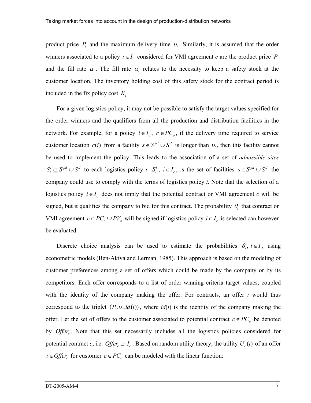product price  $P_i$  and the maximum delivery time  $v_i$ . Similarly, it is assumed that the order winners associated to a policy  $i \in I_c$  considered for VMI agreement *c* are the product price  $P_i$ and the fill rate  $\alpha_i$ . The fill rate  $\alpha_i$  relates to the necessity to keep a safety stock at the customer location. The inventory holding cost of this safety stock for the contract period is included in the fix policy cost  $K_i$ .

For a given logistics policy, it may not be possible to satisfy the target values specified for the order winners and the qualifiers from all the production and distribution facilities in the network. For example, for a policy  $i \in I_c$ ,  $c \in PC_o$ , if the delivery time required to service customer location  $c(i)$  from a facility  $s \in S^{pd} \cup S^d$  is longer than  $v_i$ , then this facility cannot be used to implement the policy. This leads to the association of a set of *admissible sites*  $S_i^i \subseteq S^{pd} \cup S^d$  to each logistics policy *i*.  $S_i^i$ ,  $i \in I_c$ , is the set of facilities  $s \in S^{pd} \cup S^d$  the company could use to comply with the terms of logistics policy *i*. Note that the selection of a logistics policy  $i \in I_c$  does not imply that the potential contract or VMI agreement *c* will be signed, but it qualifies the company to bid for this contract. The probability θ*i* that contract or VMI agreement  $c ∈ PC<sub>o</sub> ∪ PV<sub>o</sub>$  will be signed if logistics policy  $i ∈ I<sub>c</sub>$  is selected can however be evaluated.

Discrete choice analysis can be used to estimate the probabilities  $\theta_i$ ,  $i \in I$ , using econometric models (Ben-Akiva and Lerman, 1985). This approach is based on the modeling of customer preferences among a set of offers which could be made by the company or by its competitors. Each offer corresponds to a list of order winning criteria target values, coupled with the identity of the company making the offer. For contracts, an offer *i* would thus correspond to the triplet  $(P_i, v_i, id(i))$ , where  $id(i)$  is the identity of the company making the offer. Let the set of offers to the customer associated to potential contract  $c \in PC$ , be denoted by *Offer*. Note that this set necessarily includes all the logistics policies considered for potential contract *c*, i.e. *Offer*<sub>c</sub>  $\supset I_c$ . Based on random utility theory, the utility  $U_c(i)$  of an offer *i* ∈ *Offer* for customer  $c \in PC$  can be modeled with the linear function: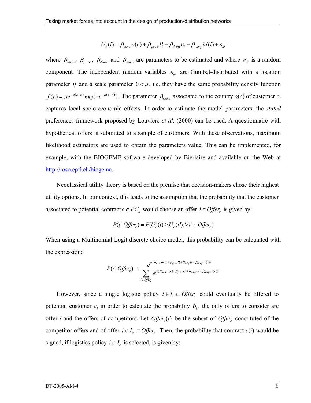$$
U_c(i) = \beta_{\text{socio}} o(c) + \beta_{\text{price}} P_i + \beta_{\text{delay}} v_i + \beta_{\text{comp}} id(i) + \varepsilon_{\text{ic}}
$$

where  $\beta_{\text{socio}}$ ,  $\beta_{\text{price}}$ ,  $\beta_{\text{delay}}$  and  $\beta_{\text{comp}}$  are parameters to be estimated and where  $\varepsilon_{ic}$  is a random component. The independent random variables  $\varepsilon_{ic}$  are Gumbel-distributed with a location parameter  $\eta$  and a scale parameter  $0 < \mu$ , i.e. they have the same probability density function  $f(\varepsilon) = \mu e^{-\mu(\varepsilon - \eta)} \exp(-e^{-\mu(\varepsilon - \eta)})$ . The parameter  $\beta_{\text{socio}}$  associated to the country  $o(c)$  of customer *c*, captures local socio-economic effects. In order to estimate the model parameters, the *stated*  preferences framework proposed by Louviere *et al*. (2000) can be used. A questionnaire with hypothetical offers is submitted to a sample of customers. With these observations, maximum likelihood estimators are used to obtain the parameters value. This can be implemented, for example, with the BIOGEME software developed by Bierlaire and available on the Web at http://roso.epfl.ch/biogeme.

Neoclassical utility theory is based on the premise that decision-makers chose their highest utility options. In our context, this leads to the assumption that the probability that the customer associated to potential contract  $c \in PC_\rho$  would choose an offer  $i \in Offer_\rho$  is given by:

$$
P(i | Offer_c) = P(U_c(i) \ge U_c(i'), \forall i' \in Offer_c)
$$

When using a Multinomial Logit discrete choice model, this probability can be calculated with the expression:

$$
P(i | Offer_c) = \frac{e^{\mu(\beta_{\text{score}}o(c) + \beta_{\text{price}}P_i + \beta_{\text{delay}}v_i + \beta_{\text{comp}}id(i))}}{\sum_{i' \in Offer_c} e^{\mu(\beta_{\text{score}}o(c) + \beta_{\text{price}}P_i + \beta_{\text{delay}}v_i + \beta_{\text{comp}}id(i'))}}
$$

However, since a single logistic policy  $i \in I_c \subset \text{Offer}_c$  could eventually be offered to potential customer  $c$ , in order to calculate the probability  $\theta$ <sub>i</sub>, the only offers to consider are offer *i* and the offers of competitors. Let *Offer*<sub>c</sub> $(i)$  be the subset of *Offer*<sub>c</sub> constituted of the competitor offers and of offer  $i \in I_c \subset \text{Offer}_c$ . Then, the probability that contract  $c(i)$  would be signed, if logistics policy  $i \in I_c$  is selected, is given by: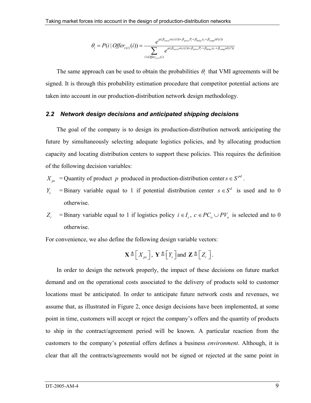$$
\theta_i = P(i | \text{Offer}_{c(i)}(i)) = \frac{e^{\mu(\beta_{\text{score}} o(c(i)) + \beta_{\text{price}} P_i + \beta_{\text{delay}} v_i + \beta_{\text{comp}} id(i))}}{\sum_{i' \in \text{Offer}_{c(i)}(i)} e^{\mu(\beta_{\text{score}} o(c(i)) + \beta_{\text{price}} P_i + \beta_{\text{delay}} v_i + \beta_{\text{comp}} id(i'))}}
$$

The same approach can be used to obtain the probabilities  $\theta_i$  that VMI agreements will be signed. It is through this probability estimation procedure that competitor potential actions are taken into account in our production-distribution network design methodology.

#### *2.2 Network design decisions and anticipated shipping decisions*

The goal of the company is to design its production-distribution network anticipating the future by simultaneously selecting adequate logistics policies, and by allocating production capacity and locating distribution centers to support these policies. This requires the definition of the following decision variables:

- $X_{ps}$  = Quantity of product *p* produced in production-distribution center  $s \in S^{pd}$ .
- *Y<sub>s</sub>* = Binary variable equal to 1 if potential distribution center  $s \in S^d$  is used and to 0 otherwise.
- *Z<sub>i</sub>* = Binary variable equal to 1 if logistics policy  $i \in I_c$ ,  $c \in PC_o \cup PV_o$  is selected and to 0 otherwise.

For convenience, we also define the following design variable vectors:

$$
\mathbf{X} \triangleq \left[X_{ps}\right], \ \mathbf{Y} \triangleq \left[Y_{s}\right] \text{and} \ \mathbf{Z} \triangleq \left[Z_{i}\right].
$$

In order to design the network properly, the impact of these decisions on future market demand and on the operational costs associated to the delivery of products sold to customer locations must be anticipated. In order to anticipate future network costs and revenues, we assume that, as illustrated in Figure 2, once design decisions have been implemented, at some point in time, customers will accept or reject the company's offers and the quantity of products to ship in the contract/agreement period will be known. A particular reaction from the customers to the company's potential offers defines a business *environment*. Although, it is clear that all the contracts/agreements would not be signed or rejected at the same point in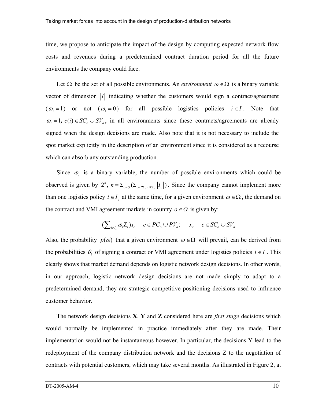time, we propose to anticipate the impact of the design by computing expected network flow costs and revenues during a predetermined contract duration period for all the future environments the company could face.

Let  $\Omega$  be the set of all possible environments. An *environment*  $\omega \in \Omega$  is a binary variable vector of dimension  $|I|$  indicating whether the customers would sign a contract/agreement  $(\omega_i = 1)$  or not  $(\omega_i = 0)$  for all possible logistics policies  $i \in I$ . Note that  $\omega_i = 1$ ,  $c(i) \in SC$ <sub>o</sub>  $\cup SV$ <sub>o</sub>, in all environments since these contracts/agreements are already signed when the design decisions are made. Also note that it is not necessary to include the spot market explicitly in the description of an environment since it is considered as a recourse which can absorb any outstanding production.

Since  $\omega_i$  is a binary variable, the number of possible environments which could be observed is given by  $2^n$ ,  $n = \sum_{o \in O} (\sum_{c \in PC_o \cup PV_o} |I_c|)$ . Since the company cannot implement more than one logistics policy  $i \in I_c$  at the same time, for a given environment  $\omega \in \Omega$ , the demand on the contract and VMI agreement markets in country  $o \in O$  is given by:

$$
(\sum_{i\in I_c} \omega_i Z_i)x_c \quad c \in PC_o \cup PV_o; \quad x_c \quad c \in SC_o \cup SV_o
$$

Also, the probability  $p(\omega)$  that a given environment  $\omega \in \Omega$  will prevail, can be derived from the probabilities  $\theta_i$  of signing a contract or VMI agreement under logistics policies  $i \in I$ . This clearly shows that market demand depends on logistic network design decisions. In other words, in our approach, logistic network design decisions are not made simply to adapt to a predetermined demand, they are strategic competitive positioning decisions used to influence customer behavior.

The network design decisions **X**, **Y** and **Z** considered here are *first stage* decisions which would normally be implemented in practice immediately after they are made. Their implementation would not be instantaneous however. In particular, the decisions Y lead to the redeployment of the company distribution network and the decisions Z to the negotiation of contracts with potential customers, which may take several months. As illustrated in Figure 2, at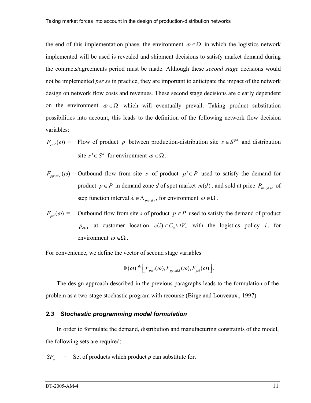the end of this implementation phase, the environment  $\omega \in \Omega$  in which the logistics network implemented will be used is revealed and shipment decisions to satisfy market demand during the contracts/agreements period must be made. Although these *second stage* decisions would not be implemented *per se* in practice, they are important to anticipate the impact of the network design on network flow costs and revenues. These second stage decisions are clearly dependent on the environment  $\omega \in \Omega$  which will eventually prevail. Taking product substitution possibilities into account, this leads to the definition of the following network flow decision variables:

$$
F_{\text{pss}'}(\omega) = \text{Flow of product } p \text{ between production-distribution site } s \in S^{\text{pd}} \text{ and distribution}
$$
\n
$$
\text{site } s' \in S^d \text{ for environment } \omega \in \Omega.
$$

 $F_{pp'sd\lambda}(\omega)$  = Outbound flow from site *s* of product  $p' \in P$  used to satisfy the demand for product  $p \in P$  in demand zone *d* of spot market  $m(d)$ , and sold at price  $P_{pm(d)\lambda}$  of step function interval  $\lambda \in \Lambda_{pm(d)}$ , for environment  $\omega \in \Omega$ .

 $F_{psi}(\omega)$  = Outbound flow from site *s* of product  $p \in P$  used to satisfy the demand of product  $p_{c(i)}$  at customer location  $c(i) \in C_0 \cup V_0$  with the logistics policy *i*, for environment  $\omega \in \Omega$ .

For convenience, we define the vector of second stage variables

$$
\mathbf{F}(\omega) \triangleq \Big[ F_{\text{pss}'}(\omega), F_{\text{pp'sd}\lambda}(\omega), F_{\text{psi}}(\omega) \Big].
$$

The design approach described in the previous paragraphs leads to the formulation of the problem as a two-stage stochastic program with recourse (Birge and Louveaux., 1997).

#### *2.3 Stochastic programming model formulation*

In order to formulate the demand, distribution and manufacturing constraints of the model, the following sets are required:

 $SP_n$  = Set of products which product *p* can substitute for.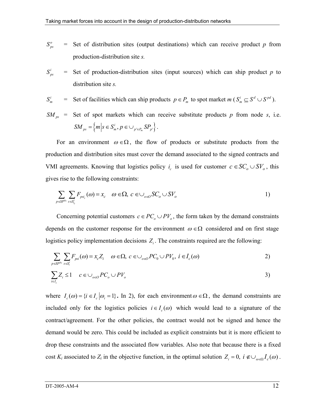$$
S_{ps}^{o} = \text{Set of distribution sites (output destinations) which can receive product } p \text{ from production-distribution site } s.
$$

 $S_{\textit{ps}}^i$ Set of production-distribution sites (input sources) which can ship product  $p$  to distribution site *s.*

$$
S_m^i
$$
 = Set of facilities which can ship products  $p \in P_m$  to spot market  $m (S_m^i \subseteq S^d \cup S^{pd})$ .

 $SM_{ps}$  = Set of spot markets which can receive substitute products *p* from node *s*, i.e.  ${SM}_{ps} = \left\{ m \Big| s \in S_m^i, p \in \bigcup_{p' \in P_m} {SP}_{p'} \right\}.$ 

For an environment  $\omega \in \Omega$ , the flow of products or substitute products from the production and distribution sites must cover the demand associated to the signed contracts and VMI agreements. Knowing that logistics policy  $i_c$  is used for customer  $c \in SC_o \cup SV_o$ , this gives rise to the following constraints:

$$
\sum_{p \in SP^{Pc}} \sum_{s \in S_c^i} F_{psi_c}(\omega) = x_c \quad \omega \in \Omega, \ c \in \bigcup_{o \in O} SC_o \cup SV_o \tag{1}
$$

Concerning potential customers  $c \in PC_o \cup PV_o$ , the form taken by the demand constraints depends on the customer response for the environment  $\omega \in \Omega$  considered and on first stage logistics policy implementation decisions  $Z_i$ . The constraints required are the following:

$$
\sum_{p \in SP^{P_c}} \sum_{s \in S_i^i} F_{psi}(\omega) = x_c Z_i \quad \omega \in \Omega, \ c \in \bigcup_{o \in O} PC_0 \cup PV_0, \ i \in I_c(\omega)
$$
\n
$$
\sum Z_i \le 1 \quad c \in \bigcup_{o \in O} PC_o \cup PV_o
$$
\n
$$
\tag{3}
$$

where  $I_c(\omega) = {i \in I_c | \omega_i = 1}$ . In 2), for each environment  $\omega \in \Omega$ , the demand constraints are included only for the logistics policies  $i \in I_c(\omega)$  which would lead to a signature of the contract/agreement. For the other policies, the contract would not be signed and hence the demand would be zero. This could be included as explicit constraints but it is more efficient to drop these constraints and the associated flow variables. Also note that because there is a fixed cost *K<sub>i</sub>* associated to  $Z_i$  in the objective function, in the optimal solution  $Z_i = 0$ ,  $i \notin \bigcup_{\omega \in \Omega} I_c(\omega)$ .

 $i \in I_c$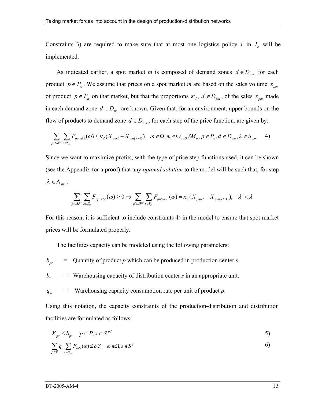Constraints 3) are required to make sure that at most one logistics policy *i* in  $I_c$  will be implemented.

As indicated earlier, a spot market *m* is composed of demand zones  $d \in D_{pm}$  for each product  $p \in P_m$ . We assume that prices on a spot market *m* are based on the sales volume  $x_{pm}$ of product  $p \in P_m$  on that market, but that the proportions  $\kappa_d$ ,  $d \in D_{pm}$ , of the sales  $x_{pm}$  made in each demand zone  $d \in D_{pm}$  are known. Given that, for an environment, upper bounds on the flow of products to demand zone  $d \in D_{pm}$ , for each step of the price function, are given by:

$$
\sum_{p' \in SP^p} \sum_{s \in S_m^i} F_{pp'sd\lambda}(\omega) \le \kappa_d (X_{pm\lambda} - X_{pm(\lambda-1)}) \quad \omega \in \Omega, m \in \bigcup_{o \in O} SM_o, p \in P_m, d \in D_{pm}, \lambda \in \Lambda_{pm}
$$
 4)

Since we want to maximize profits, with the type of price step functions used, it can be shown (see the Appendix for a proof) that any *optimal solution* to the model will be such that, for step  $\lambda \in \Lambda_{pm}$ :

$$
\sum_{p' \in SP^p} \sum_{s \in S_m^i} F_{pp' s d\lambda}(\omega) > 0 \Rightarrow \sum_{p' \in SP^p} \sum_{s \in S_m^i} F_{pp' s d\lambda'}(\omega) = \kappa_d(X_{pm\lambda'} - X_{pm(\lambda'-1)}), \quad \lambda' < \lambda
$$

For this reason, it is sufficient to include constraints 4) in the model to ensure that spot market prices will be formulated properly.

The facilities capacity can be modeled using the following parameters:

- $b_{ps}$  = Quantity of product *p* which can be produced in production center *s*.
- $b<sub>s</sub>$  = Warehousing capacity of distribution center *s* in an appropriate unit.
- $q_p$  = Warehousing capacity consumption rate per unit of product *p*.

Using this notation, the capacity constraints of the production-distribution and distribution facilities are formulated as follows:

$$
X_{ps} \le b_{ps} \quad p \in P, s \in S^{pd} \tag{5}
$$

$$
\sum_{p \in P} q_p \sum_{s' \in S_{ps}^i} F_{ps's}(\omega) \le b_s Y_s \quad \omega \in \Omega, s \in S^d
$$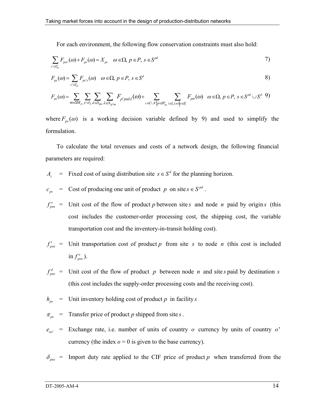For each environment, the following flow conservation constraints must also hold:

$$
\sum_{s' \in S_{ps}^o} F_{pss'}(\omega) + F_{ps}(\omega) = X_{ps} \quad \omega \in \Omega, \ p \in P, \ s \in S^{pd}
$$

$$
F_{ps}(\omega) = \sum_{s' \in S_{ps}^i} F_{ps's}(\omega) \quad \omega \in \Omega, \ p \in P, \ s \in S^d
$$

$$
F_{ps}(\omega) = \sum_{m \in SM_{ps}} \sum_{p' \in P_m} \sum_{d \in D_{pm}} \sum_{\lambda \in \Lambda_{p'm}} F_{p'psd\lambda}(\omega) + \sum_{c \in CW | p \in SP_{pc}} \sum_{i \in I_c(w) | s \in S_i^i} F_{psi}(\omega) \quad \omega \in \Omega, \ p \in P, \ s \in S^{pd} \cup S^{d} \quad 9)
$$

where  $F_{ps}(\omega)$  is a working decision variable defined by 9) and used to simplify the formulation.

To calculate the total revenues and costs of a network design, the following financial parameters are required:

- *A<sub>s</sub>* = Fixed cost of using distribution site  $s \in S^d$  for the planning horizon.
- $c_{ps}$  = Cost of producing one unit of product *p* on site  $s \in S^{pd}$ .

 $f_{\rm nsn}^{\rm o}$  = Unit cost of the flow of product *p* between site *s* and node *n* paid by origin *s* (this cost includes the customer-order processing cost, the shipping cost, the variable transportation cost and the inventory-in-transit holding cost).

 $f_{nsn}^t$  = Unit transportation cost of product  $p$  from site  $s$  to node  $n$  (this cost is included  $\inf_{psn}$ ).

 $f_{pns}^d$  = Unit cost of the flow of product *p* between node *n* and site *s* paid by destination *s* (this cost includes the supply-order processing costs and the receiving cost).

$$
h_{ps}
$$
 = Unit inventory holding cost of product p in facility s.

 $\pi_{ps}$  = Transfer price of product *p* shipped from site *s*.

 $e_{oo'}$  = Exchange rate, i.e. number of units of country *o* currency by units of country *o* currency (the index  $o = 0$  is given to the base currency).

 $\delta_{\text{pns}}$  = Import duty rate applied to the CIF price of product *p* when transferred from the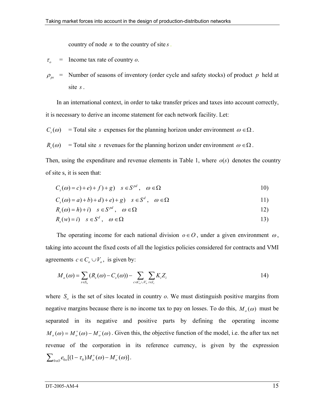country of node *n* to the country of site *s* .

- $\tau_o$  = Income tax rate of country *o*.
- $\rho_{ps}$  = Number of seasons of inventory (order cycle and safety stocks) of product p held at site *s* .

In an international context, in order to take transfer prices and taxes into account correctly, it is necessary to derive an income statement for each network facility. Let:

 $C_s(\omega)$  = Total site *s* expenses for the planning horizon under environment  $\omega \in \Omega$ .

 $R_s(\omega)$  = Total site *s* revenues for the planning horizon under environment  $\omega \in \Omega$ .

Then, using the expenditure and revenue elements in Table 1, where  $o(s)$  denotes the country of site s, it is seen that:

$$
C_s(\omega) = c) + e) + f(1) + g \qquad s \in S^{pd}, \quad \omega \in \Omega
$$

$$
C_s(\omega) = a) + b) + d) + e) + g) \quad s \in S^d, \quad \omega \in \Omega
$$

$$
R_s(\omega) = h) + i \quad s \in S^{pd} \,, \quad \omega \in \Omega \tag{12}
$$

$$
R_s(w) = i) \quad s \in S^d \,, \quad \omega \in \Omega \tag{13}
$$

The operating income for each national division  $o \in O$ , under a given environment  $\omega$ , taking into account the fixed costs of all the logistics policies considered for contracts and VMI agreements  $c \in C_0 \cup V_0$ , is given by:

$$
M_o(\omega) = \sum_{s \in S_o} (R_s(\omega) - C_s(\omega)) - \sum_{c \in C_o \cup V_o} \sum_{i \in I_c} K_i Z_i
$$
 (14)

where  $S<sub>o</sub>$  is the set of sites located in country  $o$ . We must distinguish positive margins from negative margins because there is no income tax to pay on losses. To do this,  $M_o(\omega)$  must be separated in its negative and positive parts by defining the operating income  $M_{\rho}(\omega) = M_{\rho}^+(\omega) - M_{\rho}^-(\omega)$ . Given this, the objective function of the model, i.e. the after tax net revenue of the corporation in its reference currency, is given by the expression  $\sum_{0 \in \mathcal{O}} e_{0o} [(1 - \tau_0) M_o^+(\omega) - M_o^-(\omega)].$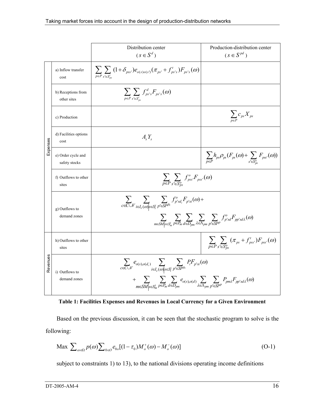|          |                                     | Distribution center                                                                                                                                                                                                                                                                                            | Production-distribution center                                                       |  |  |  |
|----------|-------------------------------------|----------------------------------------------------------------------------------------------------------------------------------------------------------------------------------------------------------------------------------------------------------------------------------------------------------------|--------------------------------------------------------------------------------------|--|--|--|
|          |                                     | $(s \in S^d)$                                                                                                                                                                                                                                                                                                  | $(s \in S^{pd})$                                                                     |  |  |  |
|          | a) Inflow transfer<br>cost          | $\sum_{p \in P} \sum_{s' \in S_{nc}^{i}} (1+\delta_{pss'}) e_{o(s)o(s')}(\pi_{ps'}+f'_{ps's}) F_{ps's}(\omega)$                                                                                                                                                                                                |                                                                                      |  |  |  |
|          | b) Receptions from<br>other sites   | $\sum_{p \in P} \sum_{s' \in S_{nc}^i} f_{ps's}^d F_{ps's}(\omega)$                                                                                                                                                                                                                                            |                                                                                      |  |  |  |
|          | c) Production                       |                                                                                                                                                                                                                                                                                                                | $\sum_{p \in P} c_{ps} X_{ps}$                                                       |  |  |  |
| Expenses | d) Facilities options<br>cost       | $A_{s}Y_{s}$                                                                                                                                                                                                                                                                                                   |                                                                                      |  |  |  |
|          | e) Order cycle and<br>safety stocks |                                                                                                                                                                                                                                                                                                                | $\sum_{p\in P}h_{ps}\rho_{ps}(F_{ps}(\omega)+\sum_{s'\in S_{ps}^o}F_{pss'}(\omega))$ |  |  |  |
|          | f) Outflows to other<br>sites       | $\sum_{p\in P} \sum_{s'\in S^0} f_{pss}^o F_{pss'}(\omega)$                                                                                                                                                                                                                                                    |                                                                                      |  |  |  |
|          | g) Outflows to<br>demand zones      | $\sum_{c\in CV} \sum_{i\in I_c(\omega)} \sum_{s\in S_i^i} \sum_{p'\in SP^{p_c}} f_{p'sd_c}^o F_{p'si}(\omega)+$<br>$\sum_{m\in SM s\in S_m^i}\sum_{p\in P_m}\sum_{d\in D_{nm}}\sum_{\lambda\in \Lambda_{nm}}\sum_{n'\in SPP}f_{p'sd}^oF_{pp'sd\lambda}(\omega)$                                                |                                                                                      |  |  |  |
| Revenues | h) Outflows to other<br>sites       |                                                                                                                                                                                                                                                                                                                | $\sum_{p\in P} \sum_{s'\in S^o_{ns}} (\pi_{ps} + f'_{pss'}) F_{pss'}(\omega)$        |  |  |  |
|          | i) Outflows to<br>demand zones      | $\sum_{c \in C \cup V} e_{o(s),o(d_c)} \sum_{i \in I_c(\omega) \setminus s \in S_i^i} \sum_{p' \in SP^{p_c}} P_i F_{p'si}(\omega)$<br>$+\sum_{m\in SM _{S}\in S_{m}^{i}}\sum_{p\in P_{m}}\sum_{d\in D_{pm}}e_{o(s),o(d)}\sum_{\lambda\in \Lambda_{pm}}\sum_{p\in SP^{p}}P_{pm\lambda}F_{pp'sd\lambda}(\omega)$ |                                                                                      |  |  |  |

**Table 1: Facilities Expenses and Revenues in Local Currency for a Given Environment**

Based on the previous discussion, it can be seen that the stochastic program to solve is the following:

$$
\text{Max } \sum_{\omega \in \Omega} p(\omega) \sum_{0 \in \mathcal{O}} e_{0\omega} [(1 - \tau_0) M_{\sigma}^+(\omega) - M_{\sigma}^-(\omega)] \tag{O-1}
$$

subject to constraints 1) to 13), to the national divisions operating income definitions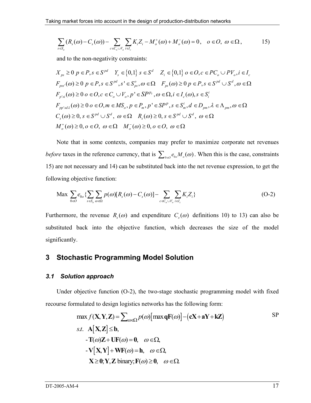$$
\sum_{s \in S_o} (R_s(\omega) - C_s(\omega)) - \sum_{c \in C_o \cup V_o} \sum_{i \in I_c} K_i Z_i - M_o^+(\omega) + M_o^-(\omega) = 0, \quad o \in \mathcal{O}, \quad \omega \in \Omega, \tag{15}
$$

and to the non-negativity constraints:

$$
X_{ps} \ge 0 \ p \in P, s \in S^{pd} \quad Y_s \in \{0,1\} \ s \in S^d \quad Z_i \in \{0,1\} \ o \in O, c \in PC_o \cup PV_o, i \in I_c
$$
  

$$
F_{pss'}(\omega) \ge 0 \ p \in P, s \in S^{pd}, s' \in S_{ps}^o, \omega \in \Omega \quad F_{ps}(\omega) \ge 0 \ p \in P, s \in S^{pd} \cup S^d, \omega \in \Omega
$$
  

$$
F_{p'si}(\omega) \ge 0 \ o \in O, c \in C_o \cup V_o, p' \in SP^{p_c}, \omega \in \Omega, i \in I_c(\omega), s \in S_i^i
$$
  

$$
F_{pp'sd\lambda}(\omega) \ge 0 \ o \in O, m \in MS_o, p \in P_m, p' \in SP^p, s \in S_m^i, d \in D_{pm}, \lambda \in \Lambda_{pm}, \omega \in \Omega
$$
  

$$
C_s(\omega) \ge 0, s \in S^{pd} \cup S^d, \omega \in \Omega \quad R_s(\omega) \ge 0, s \in S^{pd} \cup S^d, \omega \in \Omega
$$
  

$$
M_o^+(\omega) \ge 0, o \in O, \omega \in \Omega \quad M_o^-(\omega) \ge 0, o \in O, \omega \in \Omega
$$

Note that in some contexts, companies may prefer to maximize corporate net revenues *before* taxes in the reference currency, that is  $\sum_{\theta \in \mathcal{O}} e_{\theta} M_{\theta}(\omega)$ . When this is the case, constraints 15) are not necessary and 14) can be substituted back into the net revenue expression, to get the following objective function:

$$
\text{Max} \sum_{\substack{0 \in \mathcal{O}}} e_{0o} \left\{ \sum_{s \in S_o} \sum_{\omega \in \Omega} p(\omega) [R_s(\omega) - C_s(\omega)] - \sum_{c \in C_o \cup V_o} \sum_{i \in I_c} K_i Z_i \right\} \tag{O-2}
$$

Furthermore, the revenue  $R_s(\omega)$  and expenditure  $C_s(\omega)$  definitions 10) to 13) can also be substituted back into the objective function, which decreases the size of the model significantly.

# **3 Stochastic Programming Model Solution**

#### *3.1 Solution approach*

Under objective function (O-2), the two-stage stochastic programming model with fixed recourse formulated to design logistics networks has the following form:

max 
$$
f(\mathbf{X}, \mathbf{Y}, \mathbf{Z}) = \sum_{\omega \in \Omega} p(\omega) [\max \mathbf{q} F(\omega)] - (\mathbf{c} \mathbf{X} + \mathbf{a} \mathbf{Y} + \mathbf{k} \mathbf{Z})
$$
 SP  
\ns.t.  $\mathbf{A}[\mathbf{X}, \mathbf{Z}] \leq \mathbf{b}$ ,  
\n $-\mathbf{T}(\omega)\mathbf{Z} + \mathbf{U}\mathbf{F}(\omega) = \mathbf{0}, \quad \omega \in \Omega$ ,  
\n $-\mathbf{V}[\mathbf{X}, \mathbf{Y}] + \mathbf{W}\mathbf{F}(\omega) = \mathbf{h}, \quad \omega \in \Omega$ ,  
\n $\mathbf{X} \geq \mathbf{0}; \mathbf{Y}, \mathbf{Z} \text{ binary}; \mathbf{F}(\omega) \geq \mathbf{0}, \quad \omega \in \Omega$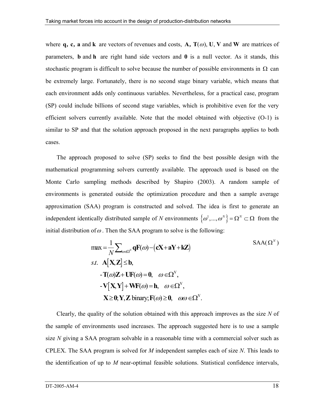where **q**, **c**, **a** and **k** are vectors of revenues and costs, **A**, **T**( $\omega$ ), **U**, **V** and **W** are matrices of parameters, **b** and **h** are right hand side vectors and  $\bf{0}$  is a null vector. As it stands, this stochastic program is difficult to solve because the number of possible environments in  $\Omega$  can be extremely large. Fortunately, there is no second stage binary variable, which means that each environment adds only continuous variables. Nevertheless, for a practical case, program (SP) could include billions of second stage variables, which is prohibitive even for the very efficient solvers currently available. Note that the model obtained with objective (O-1) is similar to SP and that the solution approach proposed in the next paragraphs applies to both cases.

The approach proposed to solve (SP) seeks to find the best possible design with the mathematical programming solvers currently available. The approach used is based on the Monte Carlo sampling methods described by Shapiro (2003). A random sample of environments is generated outside the optimization procedure and then a sample average approximation (SAA) program is constructed and solved. The idea is first to generate an independent identically distributed sample of *N* environments  $\{\omega^1, ..., \omega^N\} = \Omega^N \subset \Omega$  from the initial distribution of  $\omega$ . Then the SAA program to solve is the following:

$$
\max = \frac{1}{N} \sum_{\omega \in \Omega^N} \mathbf{q} F(\omega) - (\mathbf{c} \mathbf{X} + \mathbf{a} \mathbf{Y} + \mathbf{k} \mathbf{Z})
$$
  
s.t.  $\mathbf{A}[\mathbf{X}, \mathbf{Z}] \leq \mathbf{b}$ ,  
 $\mathbf{-T}(\omega)\mathbf{Z} + \mathbf{U}F(\omega) = \mathbf{0}, \quad \omega \in \Omega^N$ ,  
 $\mathbf{-V}[\mathbf{X}, \mathbf{Y}] + \mathbf{W}F(\omega) = \mathbf{h}, \quad \omega \in \Omega^N$ ,  
 $\mathbf{X} \geq \mathbf{0}; \mathbf{Y}, \mathbf{Z}$  binary;  $\mathbf{F}(\omega) \geq \mathbf{0}, \quad \omega \omega \in \Omega^N$ .

Clearly, the quality of the solution obtained with this approach improves as the size *N* of the sample of environments used increases. The approach suggested here is to use a sample size *N* giving a SAA program solvable in a reasonable time with a commercial solver such as CPLEX. The SAA program is solved for *M* independent samples each of size *N*. This leads to the identification of up to *M* near-optimal feasible solutions. Statistical confidence intervals,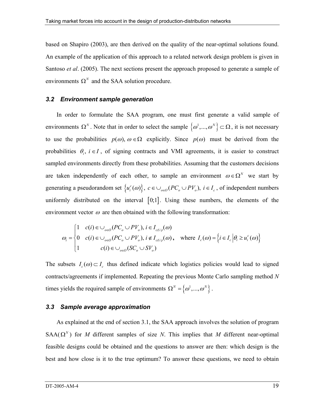based on Shapiro (2003), are then derived on the quality of the near-optimal solutions found. An example of the application of this approach to a related network design problem is given in Santoso *et al*. (2005). The next sections present the approach proposed to generate a sample of environments  $\Omega^N$  and the SAA solution procedure.

#### *3.2 Environment sample generation*

In order to formulate the SAA program, one must first generate a valid sample of environments  $\Omega^N$ . Note that in order to select the sample  $\{\omega^1,...,\omega^N\} \subset \Omega$ , it is not necessary to use the probabilities  $p(\omega)$ ,  $\omega \in \Omega$  explicitly. Since  $p(\omega)$  must be derived from the probabilities  $\theta_i$ ,  $i \in I$ , of signing contracts and VMI agreements, it is easier to construct sampled environments directly from these probabilities. Assuming that the customers decisions are taken independently of each other, to sample an environment  $\omega \in \Omega^N$  we start by generating a pseudorandom set  $\{u_i^c(\omega)\}\,$ ,  $c \in \bigcup_{o \in O} (PC_o \cup PV_o)$ ,  $i \in I_c$ , of independent numbers uniformly distributed on the interval  $[0,1]$ . Using these numbers, the elements of the environment vector  $\omega$  are then obtained with the following transformation:

$$
\omega_i = \begin{cases}\n1 & c(i) \in \bigcup_{o \in O} (PC_o \cup PV_o), i \in I_{c(i)}(\omega) \\
0 & c(i) \in \bigcup_{o \in O} (PC_o \cup PV_o), i \notin I_{c(i)}(\omega), \text{ where } I_c(\omega) = \left\{i \in I_c \middle| \theta_i \geq u_i^c(\omega)\right\} \\
1 & c(i) \in \bigcup_{o \in O} (SC_o \cup SV_o)\n\end{cases}
$$

The subsets  $I_c(\omega) \subset I_c$  thus defined indicate which logistics policies would lead to signed contracts/agreements if implemented. Repeating the previous Monte Carlo sampling method *N* times yields the required sample of environments  $\Omega^N = \{\omega^1, ..., \omega^N\}$ .

#### *3.3 Sample average approximation*

As explained at the end of section 3.1, the SAA approach involves the solution of program SAA( $\Omega^N$ ) for *M* different samples of size *N*. This implies that *M* different near-optimal feasible designs could be obtained and the questions to answer are then: which design is the best and how close is it to the true optimum? To answer these questions, we need to obtain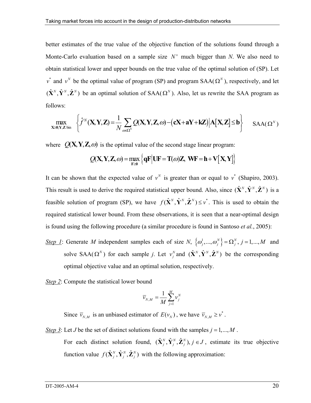better estimates of the true value of the objective function of the solutions found through a Monte-Carlo evaluation based on a sample size N' much bigger than N. We also need to obtain statistical lower and upper bounds on the true value of the optimal solution of (SP). Let  $v^*$  and  $v^N$  be the optimal value of program (SP) and program SAA( $\Omega^N$ ), respectively, and let  $(\hat{\mathbf{X}}^N, \hat{\mathbf{Y}}^N, \hat{\mathbf{Z}}^N)$  be an optimal solution of SAA( $\Omega^N$ ). Also, let us rewrite the SAA program as follows:

$$
\max_{\mathbf{X} \geq \mathbf{0}; \mathbf{Y}, \mathbf{Z} \text{ bin}} \left\{ \hat{f}^N(\mathbf{X}, \mathbf{Y}, \mathbf{Z}) = \frac{1}{N} \sum_{\omega \in \Omega^N} Q(\mathbf{X}, \mathbf{Y}, \mathbf{Z}, \omega) - (\mathbf{c}\mathbf{X} + \mathbf{a}\mathbf{Y} + \mathbf{k}\mathbf{Z}) \Big| \mathbf{A}[\mathbf{X}, \mathbf{Z}] \leq \mathbf{b} \right\} \quad \text{SAA}(\Omega^N)
$$

where  $Q(X, Y, Z, \omega)$  is the optimal value of the second stage linear program:

$$
Q(\mathbf{X}, \mathbf{Y}, \mathbf{Z}, \omega) = \max_{\mathbf{F} \geq 0} \left\{ \mathbf{q} \mathbf{F} \middle| \mathbf{U} \mathbf{F} = \mathbf{T}(\omega) \mathbf{Z}, \mathbf{W} \mathbf{F} = \mathbf{h} + \mathbf{V} \big[ \mathbf{X}, \mathbf{Y} \big] \right\}
$$

It can be shown that the expected value of  $v^N$  is greater than or equal to  $v^*$  (Shapiro, 2003). This result is used to derive the required statistical upper bound. Also, since  $(\hat{\mathbf{X}}^N, \hat{\mathbf{Y}}^N, \hat{\mathbf{Z}}^N)$  is a feasible solution of program (SP), we have  $f(\hat{\mathbf{X}}^N, \hat{\mathbf{Y}}^N, \hat{\mathbf{Z}}^N) \leq v^*$ . This is used to obtain the required statistical lower bound. From these observations, it is seen that a near-optimal design is found using the following procedure (a similar procedure is found in Santoso *et al.*, 2005):

- *Step 1*: Generate *M* independent samples each of size *N*,  $\{\omega_j^1, ..., \omega_j^N\} = \Omega_j^N$ ,  $j = 1,...,M$  and solve SAA( $\Omega^N$ ) for each sample *j*. Let  $v_j^N$  and  $(\hat{\mathbf{X}}^N, \hat{\mathbf{Y}}^N, \hat{\mathbf{Z}}^N)$  be the corresponding optimal objective value and an optimal solution, respectively.
- *Step 2*: Compute the statistical lower bound

$$
\overline{\mathsf{v}}_{N,M} = \frac{1}{M}\sum_{j=1}^{M} \mathsf{v}^N_j
$$

Since  $\overline{v}_{N,M}$  is an unbiased estimator of  $E(v_N)$ , we have  $\overline{v}_{N,M} \ge v^*$ .

*Step 3*: Let *J* be the set of distinct solutions found with the samples  $j = 1, ..., M$ . For each distinct solution found,  $(\hat{\mathbf{X}}_j^N, \hat{\mathbf{Y}}_j^N, \hat{\mathbf{Z}}_j^N)$ ,  $j \in J$ , estimate its true objective function value  $f(\hat{\mathbf{X}}_j^N, \hat{\mathbf{Y}}_j^N, \hat{\mathbf{Z}}_j^N)$  with the following approximation: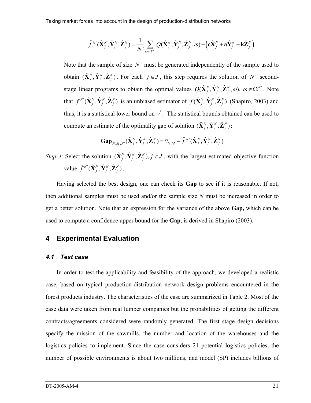$$
\tilde{f}^N(\hat{\mathbf{X}}_j^N, \hat{\mathbf{Y}}_j^N, \hat{\mathbf{Z}}_j^N) = \frac{1}{N!} \sum_{\omega \in \Omega^N} Q(\hat{\mathbf{X}}_j^N, \hat{\mathbf{Y}}_j^N, \hat{\mathbf{Z}}_j^N, \omega) - (\mathbf{c}\hat{\mathbf{X}}_j^N + \mathbf{a}\hat{\mathbf{Y}}_j^N + \mathbf{k}\hat{\mathbf{Z}}_j^N)
$$

Note that the sample of size N' must be generated independently of the sample used to obtain  $(\hat{\mathbf{X}}_j^N, \hat{\mathbf{Y}}_j^N, \hat{\mathbf{Z}}_j^N)$ . For each  $j \in J$ , this step requires the solution of *N*' secondstage linear programs to obtain the optimal values  $Q(\hat{\mathbf{X}}_j^N, \hat{\mathbf{Y}}_j^N, \hat{\mathbf{Z}}_j^N, \omega)$ ,  $\omega \in \Omega^N$ . Note that  $\tilde{f}^{N}(\hat{\mathbf{X}}_j^N, \hat{\mathbf{Y}}_j^N, \hat{\mathbf{Z}}_j^N)$  is an unbiased estimator of  $f(\hat{\mathbf{X}}_j^N, \hat{\mathbf{Y}}_j^N, \hat{\mathbf{Z}}_j^N)$  (Shapiro, 2003) and thus, it is a statistical lower bound on  $v^*$ . The statistical bounds obtained can be used to compute an estimate of the optimality gap of solution  $(\hat{\mathbf{X}}_i^N, \hat{\mathbf{Y}}_i^N, \hat{\mathbf{Z}}_i^N)$ :

$$
\mathbf{Gap}_{N,M,N'}(\hat{\mathbf{X}}_j^N,\hat{\mathbf{Y}}_j^N,\hat{\mathbf{Z}}_j^N)=\overline{v}_{N,M}-\widetilde{f}^{N'}(\hat{\mathbf{X}}_j^N,\hat{\mathbf{Y}}_j^N,\hat{\mathbf{Z}}_j^N)
$$

*Step 4*: Select the solution  $(\hat{X}_j^N, \hat{Y}_j^N, \hat{Z}_j^N)$ ,  $j \in J$ , with the largest estimated objective function value  $\tilde{f}^{N}(\hat{\mathbf{X}}_j^N, \hat{\mathbf{Y}}_j^N, \hat{\mathbf{Z}}_j^N)$ .

Having selected the best design, one can check its **Gap** to see if it is reasonable. If not, then additional samples must be used and/or the sample size *N* must be increased in order to get a better solution. Note that an expression for the variance of the above **Gap,** which can be used to compute a confidence upper bound for the **Gap**, is derived in Shapiro (2003).

# **4 Experimental Evaluation**

#### *4.1 Test case*

In order to test the applicability and feasibility of the approach, we developed a realistic case, based on typical production-distribution network design problems encountered in the forest products industry. The characteristics of the case are summarized in Table 2. Most of the case data were taken from real lumber companies but the probabilities of getting the different contracts/agreements considered were randomly generated. The first stage design decisions specify the mission of the sawmills, the number and location of the warehouses and the logistics policies to implement. Since the case considers 21 potential logistics policies, the number of possible environments is about two millions, and model (SP) includes billions of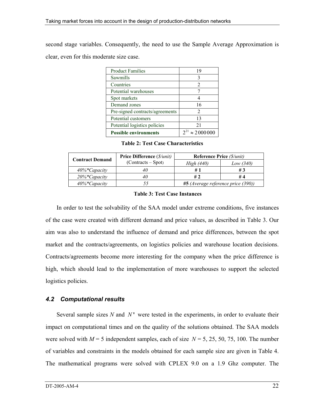second stage variables. Consequently, the need to use the Sample Average Approximation is clear, even for this moderate size case.

| <b>Product Families</b>         | 19                       |
|---------------------------------|--------------------------|
| Sawmills                        | 3                        |
| Countries                       | 2                        |
| Potential warehouses            |                          |
| Spot markets                    |                          |
| Demand zones                    | 16                       |
| Pre-signed contracts/agreements | 2                        |
| Potential customers             | 13                       |
| Potential logistics policies    | 21                       |
| <b>Possible environments</b>    | $2^{21} \approx 2000000$ |

**Table 2: Test Case Characteristics** 

| <b>Contract Demand</b>       | <b>Price Difference</b> ( <i>\$/unit)</i> | <b>Reference Price (S/unit)</b>    |             |  |
|------------------------------|-------------------------------------------|------------------------------------|-------------|--|
|                              | $(Contracts - Spot)$                      | High (440)                         | Low $(340)$ |  |
| $40\%$ <sup>*</sup> Capacity |                                           |                                    | # 3         |  |
| $20\%$ *Capacity             |                                           | #2                                 | # 4         |  |
| $40\%$ *Capacity             |                                           | #5 (Average reference price (390)) |             |  |

#### **Table 3: Test Case Instances**

In order to test the solvability of the SAA model under extreme conditions, five instances of the case were created with different demand and price values, as described in Table 3. Our aim was also to understand the influence of demand and price differences, between the spot market and the contracts/agreements, on logistics policies and warehouse location decisions. Contracts/agreements become more interesting for the company when the price difference is high, which should lead to the implementation of more warehouses to support the selected logistics policies.

# *4.2 Computational results*

Several sample sizes  $N$  and  $N'$  were tested in the experiments, in order to evaluate their impact on computational times and on the quality of the solutions obtained. The SAA models were solved with  $M = 5$  independent samples, each of size  $N = 5, 25, 50, 75, 100$ . The number of variables and constraints in the models obtained for each sample size are given in Table 4. The mathematical programs were solved with CPLEX 9.0 on a 1.9 Ghz computer. The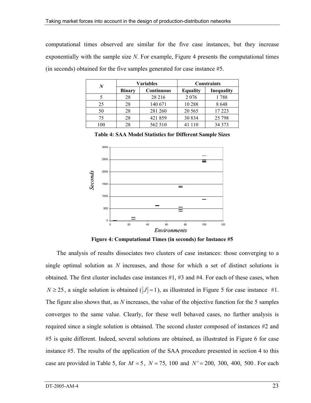computational times observed are similar for the five case instances, but they increase exponentially with the sample size *N*. For example, Figure 4 presents the computational times (in seconds) obtained for the five samples generated for case instance #5.

| N   | <b>Variables</b> |                   | <b>Constraints</b> |            |  |
|-----|------------------|-------------------|--------------------|------------|--|
|     | <b>Binary</b>    | <b>Continuous</b> | <b>Equality</b>    | Inequality |  |
|     | 28               | 28 216            | 2 0 7 6            | 1788       |  |
| 25  | 28               | 140 671           | 10 288             | 8648       |  |
| 50  | 28               | 281 260           | 20 5 65            | 17 223     |  |
| 75  | 28               | 421859            | 30 834             | 25 7 98    |  |
| 100 | 28               | 562 510           | 41 110             | 34 373     |  |

**Table 4: SAA Model Statistics for Different Sample Sizes** 



**Figure 4: Computational Times (in seconds) for Instance #5**

The analysis of results dissociates two clusters of case instances: those converging to a single optimal solution as *N* increases, and those for which a set of distinct solutions is obtained. The first cluster includes case instances #1, #3 and #4. For each of these cases, when  $N \ge 25$ , a single solution is obtained ( $|J| = 1$ ), as illustrated in Figure 5 for case instance #1. The figure also shows that, as *N* increases, the value of the objective function for the 5 samples converges to the same value. Clearly, for these well behaved cases, no further analysis is required since a single solution is obtained. The second cluster composed of instances #2 and #5 is quite different. Indeed, several solutions are obtained, as illustrated in Figure 6 for case instance #5. The results of the application of the SAA procedure presented in section 4 to this case are provided in Table 5, for  $M = 5$ ,  $N = 75$ , 100 and  $N' = 200$ , 300, 400, 500. For each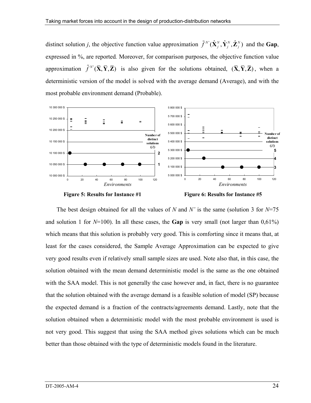distinct solution *j*, the objective function value approximation  $\tilde{f}^{N}(\hat{\mathbf{X}}_j^N, \hat{\mathbf{Y}}_j^N, \hat{\mathbf{Z}}_j^N)$  and the Gap, expressed in %, are reported*.* Moreover, for comparison purposes, the objective function value approximation  $\tilde{f}^{N'}(\bar{X}, \bar{Y}, \bar{Z})$  is also given for the solutions obtained,  $(\bar{X}, \bar{Y}, \bar{Z})$ , when a deterministic version of the model is solved with the average demand (Average), and with the most probable environment demand (Probable).







The best design obtained for all the values of *N* and *N'* is the same (solution 3 for *N*=75 and solution 1 for  $N=100$ ). In all these cases, the **Gap** is very small (not larger than  $0.61\%$ ) which means that this solution is probably very good. This is comforting since it means that, at least for the cases considered, the Sample Average Approximation can be expected to give very good results even if relatively small sample sizes are used. Note also that, in this case, the solution obtained with the mean demand deterministic model is the same as the one obtained with the SAA model. This is not generally the case however and, in fact, there is no guarantee that the solution obtained with the average demand is a feasible solution of model (SP) because the expected demand is a fraction of the contracts/agreements demand. Lastly, note that the solution obtained when a deterministic model with the most probable environment is used is not very good. This suggest that using the SAA method gives solutions which can be much better than those obtained with the type of deterministic models found in the literature.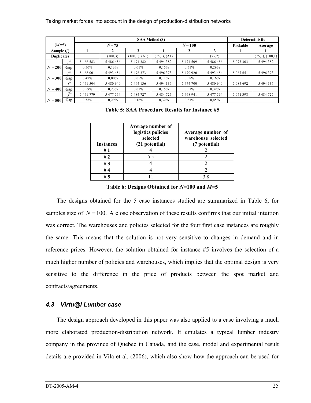|                   |                        | <b>SAA Method (\$)</b> |           |                    |                   | Deterministic |           |           |                      |
|-------------------|------------------------|------------------------|-----------|--------------------|-------------------|---------------|-----------|-----------|----------------------|
| $(M=5)$           |                        | $N = 75$               |           |                    | $N = 100$         |               |           | Probable  | Average              |
| Sample $(i)$      |                        |                        |           | 3                  |                   | 2             | 3         |           |                      |
| <b>Duplicates</b> |                        |                        | (100.3)   | $(100,1)$ , $(A1)$ | $(75,3)$ , $(A1)$ |               | (75,2)    |           | $(75,3)$ , $(100,1)$ |
|                   | $\tilde{\mathbf{r}}$ N | 5 466 583              | 5486456   | 5 494 382          | 5 494 382         | 5 474 509     | 5 486 456 | 5 073 303 | 5 494 382            |
| $N' = 200$        | Gap                    | 0.50%                  | 0,13%     | 0.01%              | 0.15%             | 0.51%         | 0.29%     |           |                      |
|                   | $\tilde{c}N$           | 5 468 001              | 5 493 454 | 5 496 373          | 5 496 373         | 5 470 920     | 5 493 454 | 5 067 651 | 5 496 373            |
| $N' = 300$        | Gap                    | 0.47%                  | $0.00\%$  | 0.05%              | $0.11\%$          | 0.58%         | 0.16%     |           |                      |
|                   | $\tilde{r}$            | 5 461 504              | 5 480 940 | 5 494 136          | 5 494 136         | 5 474 700     | 5 480 940 | 5 085 692 | 5 494 136            |
| $N' = 400$        | Gap                    | 0.59%                  | 0.23%     | 0.01%              | 0.15%             | 0.51%         | 0.39%     |           |                      |
|                   | $\tilde{c}$            | 5 461 779              | 5 477 564 | 5 484 727          | 5 484 727         | 5 468 941     | 5 477 564 | 5 071 398 | 5 484 727            |
| $N' = 500$        | Gap                    | 0,58%                  | 0.29%     | 0.16%              | 0,32%             | 0.61%         | 0,45%     |           |                      |

**Table 5: SAA Procedure Results for Instance #5** 

| <b>Instances</b> | Average number of<br>logistics policies<br>selected<br>(21 potential) | Average number of<br>warehouse selected<br>(7 potential) |
|------------------|-----------------------------------------------------------------------|----------------------------------------------------------|
| #1               |                                                                       |                                                          |
| #2               | 5.5                                                                   |                                                          |
| #3               |                                                                       |                                                          |
| #4               |                                                                       |                                                          |
| # 5              |                                                                       | 38                                                       |

**Table 6: Designs Obtained for** *N***=100 and** *M***=5** 

The designs obtained for the 5 case instances studied are summarized in Table 6, for samples size of  $N = 100$ . A close observation of these results confirms that our initial intuition was correct. The warehouses and policies selected for the four first case instances are roughly the same. This means that the solution is not very sensitive to changes in demand and in reference prices. However, the solution obtained for instance #5 involves the selection of a much higher number of policies and warehouses, which implies that the optimal design is very sensitive to the difference in the price of products between the spot market and contracts/agreements.

#### *4.3 Virtu@l Lumber case*

The design approach developed in this paper was also applied to a case involving a much more elaborated production-distribution network. It emulates a typical lumber industry company in the province of Quebec in Canada, and the case, model and experimental result details are provided in Vila et al. (2006), which also show how the approach can be used for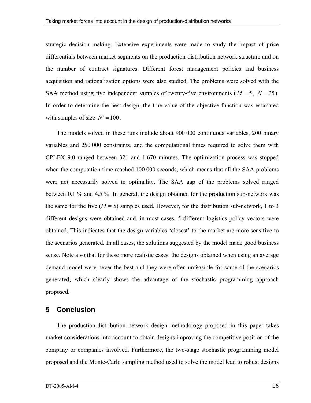strategic decision making. Extensive experiments were made to study the impact of price differentials between market segments on the production-distribution network structure and on the number of contract signatures. Different forest management policies and business acquisition and rationalization options were also studied. The problems were solved with the SAA method using five independent samples of twenty-five environments ( $M = 5$ ,  $N = 25$ ). In order to determine the best design, the true value of the objective function was estimated with samples of size  $N' = 100$ .

The models solved in these runs include about 900 000 continuous variables, 200 binary variables and 250 000 constraints, and the computational times required to solve them with CPLEX 9.0 ranged between 321 and 1 670 minutes. The optimization process was stopped when the computation time reached 100 000 seconds, which means that all the SAA problems were not necessarily solved to optimality. The SAA gap of the problems solved ranged between 0.1 % and 4.5 %. In general, the design obtained for the production sub-network was the same for the five  $(M = 5)$  samples used. However, for the distribution sub-network, 1 to 3 different designs were obtained and, in most cases, 5 different logistics policy vectors were obtained. This indicates that the design variables 'closest' to the market are more sensitive to the scenarios generated. In all cases, the solutions suggested by the model made good business sense. Note also that for these more realistic cases, the designs obtained when using an average demand model were never the best and they were often unfeasible for some of the scenarios generated, which clearly shows the advantage of the stochastic programming approach proposed.

# **5 Conclusion**

The production-distribution network design methodology proposed in this paper takes market considerations into account to obtain designs improving the competitive position of the company or companies involved. Furthermore, the two-stage stochastic programming model proposed and the Monte-Carlo sampling method used to solve the model lead to robust designs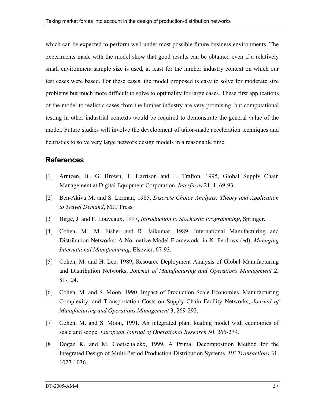which can be expected to perform well under most possible future business environments. The experiments made with the model show that good results can be obtained even if a relatively small environment sample size is used, at least for the lumber industry context on which our test cases were based. For these cases, the model proposed is easy to solve for moderate size problems but much more difficult to solve to optimality for large cases. These first applications of the model to realistic cases from the lumber industry are very promising, but computational testing in other industrial contexts would be required to demonstrate the general value of the model. Future studies will involve the development of tailor-made acceleration techniques and heuristics to solve very large network design models in a reasonable time.

# **References**

- [1] Arntzen, B., G. Brown, T. Harrison and L. Trafton, 1995, Global Supply Chain Management at Digital Equipment Corporation, *Interfaces* 21, 1, 69-93.
- [2] Ben-Akiva M. and S. Lerman, 1985, *Discrete Choice Analysis: Theory and Application to Travel Demand*, MIT Press.
- [3] Birge, J. and F. Louveaux, 1997, *Introduction to Stochastic Programming*, Springer.
- [4] Cohen, M., M. Fisher and R. Jaikumar, 1989, International Manufacturing and Distribution Networks: A Normative Model Framework, in K. Ferdows (ed), *Managing International Manufacturing*, Elsevier, 67-93.
- [5] Cohen, M. and H. Lee, 1989, Resource Deployment Analysis of Global Manufacturing and Distribution Networks, *Journal of Manufacturing and Operations Management* 2, 81-104.
- [6] Cohen, M. and S. Moon, 1990, Impact of Production Scale Economies, Manufacturing Complexity, and Transportation Costs on Supply Chain Facility Networks, *Journal of Manufacturing and Operations Management* 3, 269-292.
- [7] Cohen, M. and S. Moon, 1991, An integrated plant loading model with economies of scale and scope, *European Journal of Operational Research* 50, 266-279.
- [8] Dogan K. and M. Goetschalckx, 1999, A Primal Decomposition Method for the Integrated Design of Multi-Period Production-Distribution Systems, *IIE Transactions* 31, 1027-1036.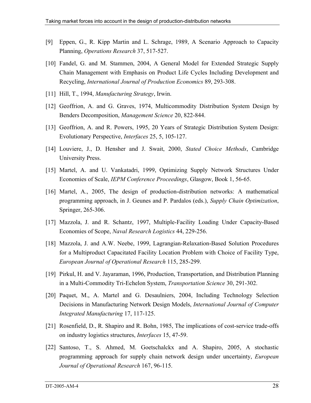- [9] Eppen, G., R. Kipp Martin and L. Schrage, 1989, A Scenario Approach to Capacity Planning, *Operations Research* 37, 517-527.
- [10] Fandel, G. and M. Stammen, 2004, A General Model for Extended Strategic Supply Chain Management with Emphasis on Product Life Cycles Including Development and Recycling, *International Journal of Production Economics* 89, 293-308.
- [11] Hill, T., 1994, *Manufacturing Strategy*, Irwin.
- [12] Geoffrion, A. and G. Graves, 1974, Multicommodity Distribution System Design by Benders Decomposition, *Management Science* 20, 822-844.
- [13] Geoffrion, A. and R. Powers, 1995, 20 Years of Strategic Distribution System Design: Evolutionary Perspective, *Interfaces* 25, 5, 105-127.
- [14] Louviere, J., D. Hensher and J. Swait, 2000, *Stated Choice Methods*, Cambridge University Press.
- [15] Martel, A. and U. Vankatadri, 1999, Optimizing Supply Network Structures Under Economies of Scale, *IEPM Conference Proceedings*, Glasgow, Book 1, 56-65.
- [16] Martel, A., 2005, The design of production-distribution networks: A mathematical programming approach, in J. Geunes and P. Pardalos (eds.), *Supply Chain Optimization*, Springer, 265-306.
- [17] Mazzola, J. and R. Schantz, 1997, Multiple-Facility Loading Under Capacity-Based Economies of Scope, *Naval Research Logistics* 44, 229-256.
- [18] Mazzola, J. and A.W. Neebe, 1999, Lagrangian-Relaxation-Based Solution Procedures for a Multiproduct Capacitated Facility Location Problem with Choice of Facility Type, *European Journal of Operational Research* 115, 285-299.
- [19] Pirkul, H. and V. Jayaraman, 1996, Production, Transportation, and Distribution Planning in a Multi-Commodity Tri-Echelon System, *Transportation Science* 30, 291-302.
- [20] Paquet, M., A. Martel and G. Desaulniers, 2004, Including Technology Selection Decisions in Manufacturing Network Design Models, *International Journal of Computer Integrated Manufacturing* 17, 117-125.
- [21] Rosenfield, D., R. Shapiro and R. Bohn, 1985, The implications of cost-service trade-offs on industry logistics structures, *Interfaces* 15, 47-59.
- [22] Santoso, T., S. Ahmed, M. Goetschalckx and A. Shapiro, 2005, A stochastic programming approach for supply chain network design under uncertainty, *European Journal of Operational Research* 167, 96-115.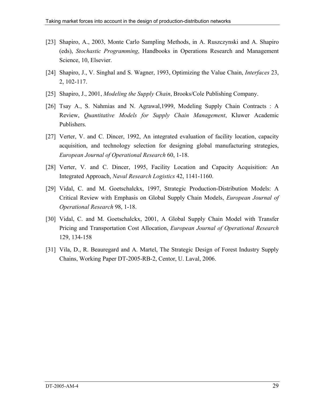- [23] Shapiro, A., 2003, Monte Carlo Sampling Methods, in A. Ruszczynski and A. Shapiro (eds), *Stochastic Programming*, Handbooks in Operations Research and Management Science, 10, Elsevier.
- [24] Shapiro, J., V. Singhal and S. Wagner, 1993, Optimizing the Value Chain, *Interfaces* 23, 2, 102-117.
- [25] Shapiro, J., 2001, *Modeling the Supply Chain*, Brooks/Cole Publishing Company.
- [26] Tsay A., S. Nahmias and N. Agrawal,1999, Modeling Supply Chain Contracts : A Review, *Quantitative Models for Supply Chain Management*, Kluwer Academic Publishers.
- [27] Verter, V. and C. Dincer, 1992, An integrated evaluation of facility location, capacity acquisition, and technology selection for designing global manufacturing strategies, *European Journal of Operational Research* 60, 1-18.
- [28] Verter, V. and C. Dincer, 1995, Facility Location and Capacity Acquisition: An Integrated Approach, *Naval Research Logistics* 42, 1141-1160.
- [29] Vidal, C. and M. Goetschalckx, 1997, Strategic Production-Distribution Models: A Critical Review with Emphasis on Global Supply Chain Models, *European Journal of Operational Research* 98, 1-18.
- [30] Vidal, C. and M. Goetschalckx, 2001, A Global Supply Chain Model with Transfer Pricing and Transportation Cost Allocation, *European Journal of Operational Research* 129, 134-158
- [31] Vila, D., R. Beauregard and A. Martel, The Strategic Design of Forest Industry Supply Chains, Working Paper DT-2005-RB-2, Centor, U. Laval, 2006.